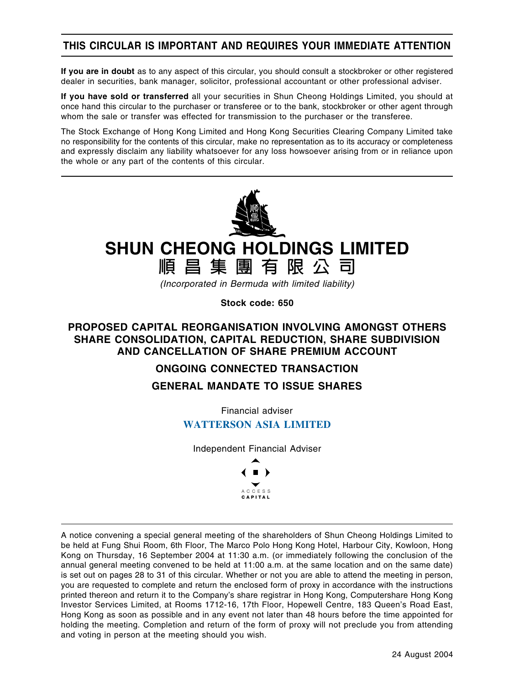# **THIS CIRCULAR IS IMPORTANT AND REQUIRES YOUR IMMEDIATE ATTENTION**

**If you are in doubt** as to any aspect of this circular, you should consult a stockbroker or other registered dealer in securities, bank manager, solicitor, professional accountant or other professional adviser.

**If you have sold or transferred** all your securities in Shun Cheong Holdings Limited, you should at once hand this circular to the purchaser or transferee or to the bank, stockbroker or other agent through whom the sale or transfer was effected for transmission to the purchaser or the transferee.

The Stock Exchange of Hong Kong Limited and Hong Kong Securities Clearing Company Limited take no responsibility for the contents of this circular, make no representation as to its accuracy or completeness and expressly disclaim any liability whatsoever for any loss howsoever arising from or in reliance upon the whole or any part of the contents of this circular.



# **SHUN CHEONG HOLDINGS LIMITED 順昌集團有限公司**

(Incorporated in Bermuda with limited liability)

**Stock code: 650**

## **PROPOSED CAPITAL REORGANISATION INVOLVING AMONGST OTHERS SHARE CONSOLIDATION, CAPITAL REDUCTION, SHARE SUBDIVISION AND CANCELLATION OF SHARE PREMIUM ACCOUNT**

## **ONGOING CONNECTED TRANSACTION**

## **GENERAL MANDATE TO ISSUE SHARES**

Financial adviser

# **WATTERSON ASIA LIMITED**

Independent Financial Adviser



A notice convening a special general meeting of the shareholders of Shun Cheong Holdings Limited to be held at Fung Shui Room, 6th Floor, The Marco Polo Hong Kong Hotel, Harbour City, Kowloon, Hong Kong on Thursday, 16 September 2004 at 11:30 a.m. (or immediately following the conclusion of the annual general meeting convened to be held at 11:00 a.m. at the same location and on the same date) is set out on pages 28 to 31 of this circular. Whether or not you are able to attend the meeting in person, you are requested to complete and return the enclosed form of proxy in accordance with the instructions printed thereon and return it to the Company's share registrar in Hong Kong, Computershare Hong Kong Investor Services Limited, at Rooms 1712-16, 17th Floor, Hopewell Centre, 183 Queen's Road East, Hong Kong as soon as possible and in any event not later than 48 hours before the time appointed for holding the meeting. Completion and return of the form of proxy will not preclude you from attending and voting in person at the meeting should you wish.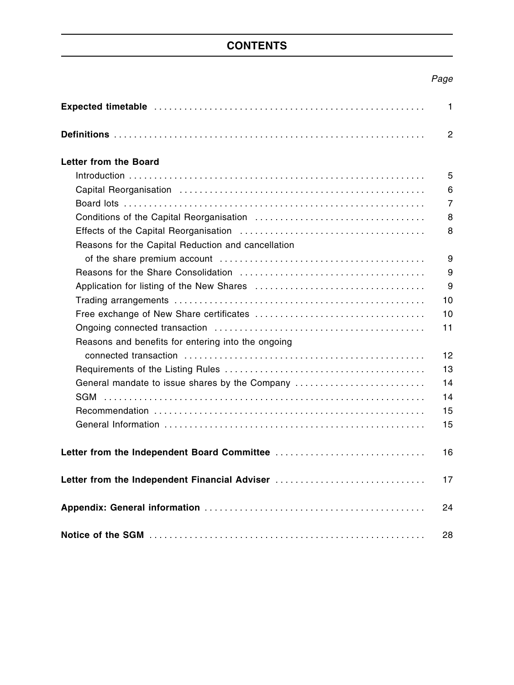# **CONTENTS**

# Page

|                                                    | $\mathbf{1}$   |
|----------------------------------------------------|----------------|
|                                                    | 2              |
| <b>Letter from the Board</b>                       |                |
|                                                    | 5              |
|                                                    | 6              |
|                                                    | $\overline{7}$ |
|                                                    | 8              |
|                                                    | 8              |
| Reasons for the Capital Reduction and cancellation |                |
|                                                    | 9              |
|                                                    | 9              |
|                                                    | 9              |
|                                                    | 10             |
|                                                    | 10             |
|                                                    | 11             |
| Reasons and benefits for entering into the ongoing |                |
|                                                    | 12             |
|                                                    | 13             |
| General mandate to issue shares by the Company     | 14             |
| SGM                                                | 14             |
|                                                    | 15             |
|                                                    | 15             |
|                                                    |                |
|                                                    | 16             |
| Letter from the Independent Financial Adviser      | 17             |
|                                                    | 24             |
|                                                    | 28             |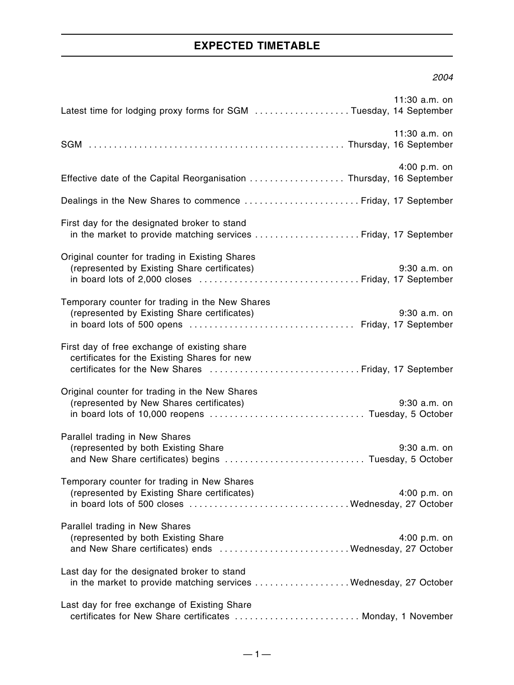# **EXPECTED TIMETABLE**

#### 2004

| Latest time for lodging proxy forms for SGM Tuesday, 14 September                                                                                     | 11:30 a.m. on  |
|-------------------------------------------------------------------------------------------------------------------------------------------------------|----------------|
|                                                                                                                                                       | 11:30 a.m. on  |
| Effective date of the Capital Reorganisation  Thursday, 16 September                                                                                  | 4:00 p.m. on   |
| Dealings in the New Shares to commence  Friday, 17 September                                                                                          |                |
| First day for the designated broker to stand<br>in the market to provide matching services  Friday, 17 September                                      |                |
| Original counter for trading in Existing Shares<br>(represented by Existing Share certificates)                                                       | $9:30$ a.m. on |
| Temporary counter for trading in the New Shares<br>(represented by Existing Share certificates)                                                       | 9:30 a.m. on   |
| First day of free exchange of existing share<br>certificates for the Existing Shares for new<br>certificates for the New Shares  Friday, 17 September |                |
| Original counter for trading in the New Shares<br>(represented by New Shares certificates)                                                            | $9:30$ a.m. on |
| Parallel trading in New Shares<br>(represented by both Existing Share<br>and New Share certificates) begins  Tuesday, 5 October                       | 9:30 a.m. on   |
| Temporary counter for trading in New Shares<br>(represented by Existing Share certificates)                                                           | 4:00 p.m. on   |
| Parallel trading in New Shares<br>(represented by both Existing Share<br>and New Share certificates) ends Wednesday, 27 October                       | 4:00 p.m. on   |
| Last day for the designated broker to stand<br>in the market to provide matching services  Wednesday, 27 October                                      |                |
| Last day for free exchange of Existing Share<br>certificates for New Share certificates  Monday, 1 November                                           |                |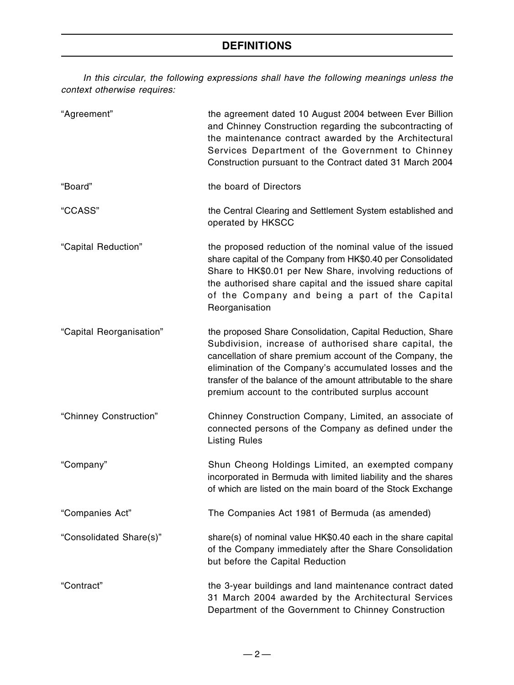# **DEFINITIONS**

In this circular, the following expressions shall have the following meanings unless the context otherwise requires:

| "Agreement"              | the agreement dated 10 August 2004 between Ever Billion<br>and Chinney Construction regarding the subcontracting of<br>the maintenance contract awarded by the Architectural<br>Services Department of the Government to Chinney<br>Construction pursuant to the Contract dated 31 March 2004                                                                         |
|--------------------------|-----------------------------------------------------------------------------------------------------------------------------------------------------------------------------------------------------------------------------------------------------------------------------------------------------------------------------------------------------------------------|
| "Board"                  | the board of Directors                                                                                                                                                                                                                                                                                                                                                |
| "CCASS"                  | the Central Clearing and Settlement System established and<br>operated by HKSCC                                                                                                                                                                                                                                                                                       |
| "Capital Reduction"      | the proposed reduction of the nominal value of the issued<br>share capital of the Company from HK\$0.40 per Consolidated<br>Share to HK\$0.01 per New Share, involving reductions of<br>the authorised share capital and the issued share capital<br>of the Company and being a part of the Capital<br>Reorganisation                                                 |
| "Capital Reorganisation" | the proposed Share Consolidation, Capital Reduction, Share<br>Subdivision, increase of authorised share capital, the<br>cancellation of share premium account of the Company, the<br>elimination of the Company's accumulated losses and the<br>transfer of the balance of the amount attributable to the share<br>premium account to the contributed surplus account |
| "Chinney Construction"   | Chinney Construction Company, Limited, an associate of<br>connected persons of the Company as defined under the<br><b>Listing Rules</b>                                                                                                                                                                                                                               |
| "Company"                | Shun Cheong Holdings Limited, an exempted company<br>incorporated in Bermuda with limited liability and the shares<br>of which are listed on the main board of the Stock Exchange                                                                                                                                                                                     |
| "Companies Act"          | The Companies Act 1981 of Bermuda (as amended)                                                                                                                                                                                                                                                                                                                        |
| "Consolidated Share(s)"  | share(s) of nominal value HK\$0.40 each in the share capital<br>of the Company immediately after the Share Consolidation<br>but before the Capital Reduction                                                                                                                                                                                                          |
| "Contract"               | the 3-year buildings and land maintenance contract dated<br>31 March 2004 awarded by the Architectural Services<br>Department of the Government to Chinney Construction                                                                                                                                                                                               |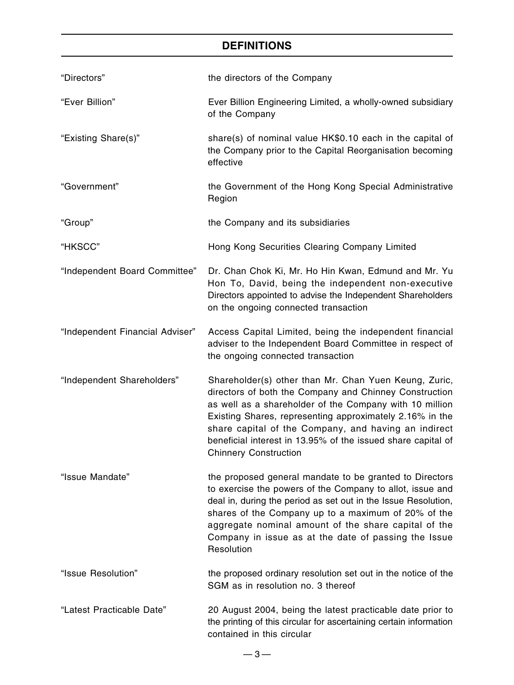# **DEFINITIONS**

| "Directors"                     | the directors of the Company                                                                                                                                                                                                                                                                                                                                                                   |
|---------------------------------|------------------------------------------------------------------------------------------------------------------------------------------------------------------------------------------------------------------------------------------------------------------------------------------------------------------------------------------------------------------------------------------------|
| "Ever Billion"                  | Ever Billion Engineering Limited, a wholly-owned subsidiary<br>of the Company                                                                                                                                                                                                                                                                                                                  |
| "Existing Share(s)"             | share(s) of nominal value HK\$0.10 each in the capital of<br>the Company prior to the Capital Reorganisation becoming<br>effective                                                                                                                                                                                                                                                             |
| "Government"                    | the Government of the Hong Kong Special Administrative<br>Region                                                                                                                                                                                                                                                                                                                               |
| "Group"                         | the Company and its subsidiaries                                                                                                                                                                                                                                                                                                                                                               |
| "HKSCC"                         | Hong Kong Securities Clearing Company Limited                                                                                                                                                                                                                                                                                                                                                  |
| "Independent Board Committee"   | Dr. Chan Chok Ki, Mr. Ho Hin Kwan, Edmund and Mr. Yu<br>Hon To, David, being the independent non-executive<br>Directors appointed to advise the Independent Shareholders<br>on the ongoing connected transaction                                                                                                                                                                               |
| "Independent Financial Adviser" | Access Capital Limited, being the independent financial<br>adviser to the Independent Board Committee in respect of<br>the ongoing connected transaction                                                                                                                                                                                                                                       |
| "Independent Shareholders"      | Shareholder(s) other than Mr. Chan Yuen Keung, Zuric,<br>directors of both the Company and Chinney Construction<br>as well as a shareholder of the Company with 10 million<br>Existing Shares, representing approximately 2.16% in the<br>share capital of the Company, and having an indirect<br>beneficial interest in 13.95% of the issued share capital of<br><b>Chinnery Construction</b> |
| "Issue Mandate"                 | the proposed general mandate to be granted to Directors<br>to exercise the powers of the Company to allot, issue and<br>deal in, during the period as set out in the Issue Resolution,<br>shares of the Company up to a maximum of 20% of the<br>aggregate nominal amount of the share capital of the<br>Company in issue as at the date of passing the Issue<br>Resolution                    |
| "Issue Resolution"              | the proposed ordinary resolution set out in the notice of the<br>SGM as in resolution no. 3 thereof                                                                                                                                                                                                                                                                                            |
| "Latest Practicable Date"       | 20 August 2004, being the latest practicable date prior to<br>the printing of this circular for ascertaining certain information<br>contained in this circular                                                                                                                                                                                                                                 |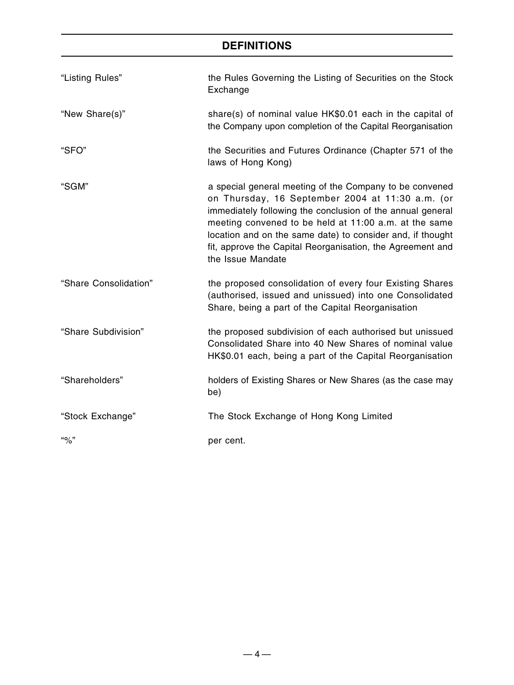# **DEFINITIONS**

| "Listing Rules"       | the Rules Governing the Listing of Securities on the Stock<br>Exchange                                                                                                                                                                                                                                                                                                              |
|-----------------------|-------------------------------------------------------------------------------------------------------------------------------------------------------------------------------------------------------------------------------------------------------------------------------------------------------------------------------------------------------------------------------------|
| "New Share(s)"        | share(s) of nominal value HK\$0.01 each in the capital of<br>the Company upon completion of the Capital Reorganisation                                                                                                                                                                                                                                                              |
| "SFO"                 | the Securities and Futures Ordinance (Chapter 571 of the<br>laws of Hong Kong)                                                                                                                                                                                                                                                                                                      |
| "SGM"                 | a special general meeting of the Company to be convened<br>on Thursday, 16 September 2004 at 11:30 a.m. (or<br>immediately following the conclusion of the annual general<br>meeting convened to be held at 11:00 a.m. at the same<br>location and on the same date) to consider and, if thought<br>fit, approve the Capital Reorganisation, the Agreement and<br>the Issue Mandate |
| "Share Consolidation" | the proposed consolidation of every four Existing Shares<br>(authorised, issued and unissued) into one Consolidated<br>Share, being a part of the Capital Reorganisation                                                                                                                                                                                                            |
| "Share Subdivision"   | the proposed subdivision of each authorised but unissued<br>Consolidated Share into 40 New Shares of nominal value<br>HK\$0.01 each, being a part of the Capital Reorganisation                                                                                                                                                                                                     |
| "Shareholders"        | holders of Existing Shares or New Shares (as the case may<br>be)                                                                                                                                                                                                                                                                                                                    |
| "Stock Exchange"      | The Stock Exchange of Hong Kong Limited                                                                                                                                                                                                                                                                                                                                             |
| $\frac{10}{2}$        | per cent.                                                                                                                                                                                                                                                                                                                                                                           |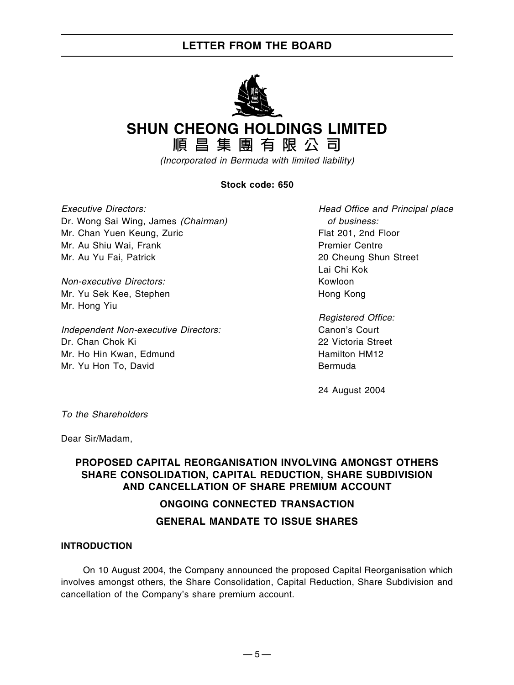

# **SHUN CHEONG HOLDINGS LIMITED**

**順昌集團有限公司**

(Incorporated in Bermuda with limited liability)

#### **Stock code: 650**

Executive Directors: Head Office and Principal place Dr. Wong Sai Wing, James (Chairman) of business: Mr. Chan Yuen Keung, Zuric Flat 201, 2nd Floor Mr. Au Shiu Wai, Frank Premier Centre Mr. Au Yu Fai, Patrick 20 Cheung Shun Street

Non-executive Directors: Kowloon Mr. Yu Sek Kee, Stephen Hong Kong Mr. Hong Yiu

Independent Non-executive Directors: Canon's Court Dr. Chan Chok Ki 22 Victoria Street Mr. Ho Hin Kwan, Edmund Hamilton HM12 Mr. Yu Hon To, David **Bermuda** 

Lai Chi Kok

Registered Office:

24 August 2004

To the Shareholders

Dear Sir/Madam,

#### **PROPOSED CAPITAL REORGANISATION INVOLVING AMONGST OTHERS SHARE CONSOLIDATION, CAPITAL REDUCTION, SHARE SUBDIVISION AND CANCELLATION OF SHARE PREMIUM ACCOUNT**

#### **ONGOING CONNECTED TRANSACTION**

#### **GENERAL MANDATE TO ISSUE SHARES**

#### **INTRODUCTION**

On 10 August 2004, the Company announced the proposed Capital Reorganisation which involves amongst others, the Share Consolidation, Capital Reduction, Share Subdivision and cancellation of the Company's share premium account.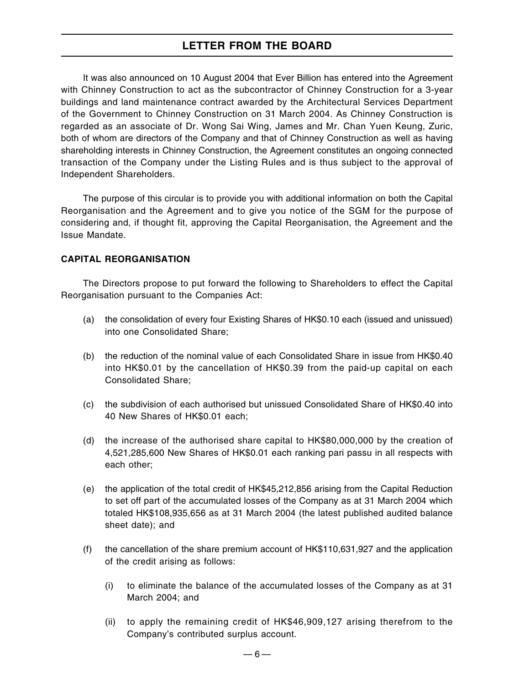It was also announced on 10 August 2004 that Ever Billion has entered into the Agreement with Chinney Construction to act as the subcontractor of Chinney Construction for a 3-year buildings and land maintenance contract awarded by the Architectural Services Department of the Government to Chinney Construction on 31 March 2004. As Chinney Construction is regarded as an associate of Dr. Wong Sai Wing, James and Mr. Chan Yuen Keung, Zuric, both of whom are directors of the Company and that of Chinney Construction as well as having shareholding interests in Chinney Construction, the Agreement constitutes an ongoing connected transaction of the Company under the Listing Rules and is thus subject to the approval of Independent Shareholders.

The purpose of this circular is to provide you with additional information on both the Capital Reorganisation and the Agreement and to give you notice of the SGM for the purpose of considering and, if thought fit, approving the Capital Reorganisation, the Agreement and the Issue Mandate.

#### **CAPITAL REORGANISATION**

The Directors propose to put forward the following to Shareholders to effect the Capital Reorganisation pursuant to the Companies Act:

- (a) the consolidation of every four Existing Shares of HK\$0.10 each (issued and unissued) into one Consolidated Share;
- (b) the reduction of the nominal value of each Consolidated Share in issue from HK\$0.40 into HK\$0.01 by the cancellation of HK\$0.39 from the paid-up capital on each Consolidated Share;
- (c) the subdivision of each authorised but unissued Consolidated Share of HK\$0.40 into 40 New Shares of HK\$0.01 each;
- (d) the increase of the authorised share capital to HK\$80,000,000 by the creation of 4,521,285,600 New Shares of HK\$0.01 each ranking pari passu in all respects with each other;
- (e) the application of the total credit of HK\$45,212,856 arising from the Capital Reduction to set off part of the accumulated losses of the Company as at 31 March 2004 which totaled HK\$108,935,656 as at 31 March 2004 (the latest published audited balance sheet date); and
- (f) the cancellation of the share premium account of HK\$110,631,927 and the application of the credit arising as follows:
	- (i) to eliminate the balance of the accumulated losses of the Company as at 31 March 2004; and
	- (ii) to apply the remaining credit of HK\$46,909,127 arising therefrom to the Company's contributed surplus account.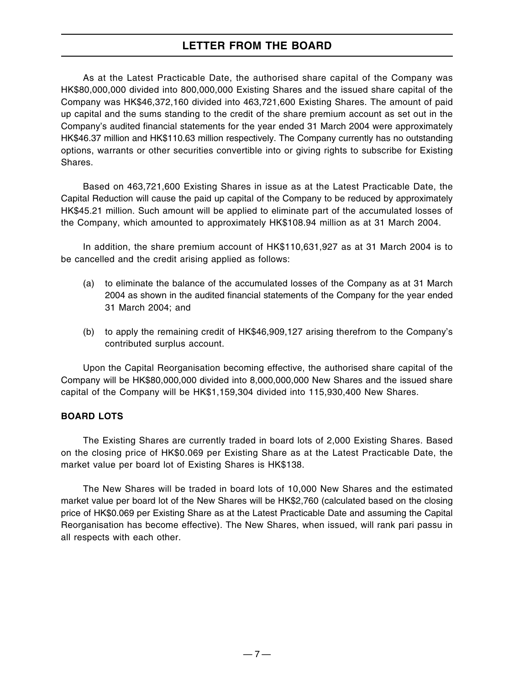As at the Latest Practicable Date, the authorised share capital of the Company was HK\$80,000,000 divided into 800,000,000 Existing Shares and the issued share capital of the Company was HK\$46,372,160 divided into 463,721,600 Existing Shares. The amount of paid up capital and the sums standing to the credit of the share premium account as set out in the Company's audited financial statements for the year ended 31 March 2004 were approximately HK\$46.37 million and HK\$110.63 million respectively. The Company currently has no outstanding options, warrants or other securities convertible into or giving rights to subscribe for Existing Shares.

Based on 463,721,600 Existing Shares in issue as at the Latest Practicable Date, the Capital Reduction will cause the paid up capital of the Company to be reduced by approximately HK\$45.21 million. Such amount will be applied to eliminate part of the accumulated losses of the Company, which amounted to approximately HK\$108.94 million as at 31 March 2004.

In addition, the share premium account of HK\$110,631,927 as at 31 March 2004 is to be cancelled and the credit arising applied as follows:

- (a) to eliminate the balance of the accumulated losses of the Company as at 31 March 2004 as shown in the audited financial statements of the Company for the year ended 31 March 2004; and
- (b) to apply the remaining credit of HK\$46,909,127 arising therefrom to the Company's contributed surplus account.

Upon the Capital Reorganisation becoming effective, the authorised share capital of the Company will be HK\$80,000,000 divided into 8,000,000,000 New Shares and the issued share capital of the Company will be HK\$1,159,304 divided into 115,930,400 New Shares.

#### **BOARD LOTS**

The Existing Shares are currently traded in board lots of 2,000 Existing Shares. Based on the closing price of HK\$0.069 per Existing Share as at the Latest Practicable Date, the market value per board lot of Existing Shares is HK\$138.

The New Shares will be traded in board lots of 10,000 New Shares and the estimated market value per board lot of the New Shares will be HK\$2,760 (calculated based on the closing price of HK\$0.069 per Existing Share as at the Latest Practicable Date and assuming the Capital Reorganisation has become effective). The New Shares, when issued, will rank pari passu in all respects with each other.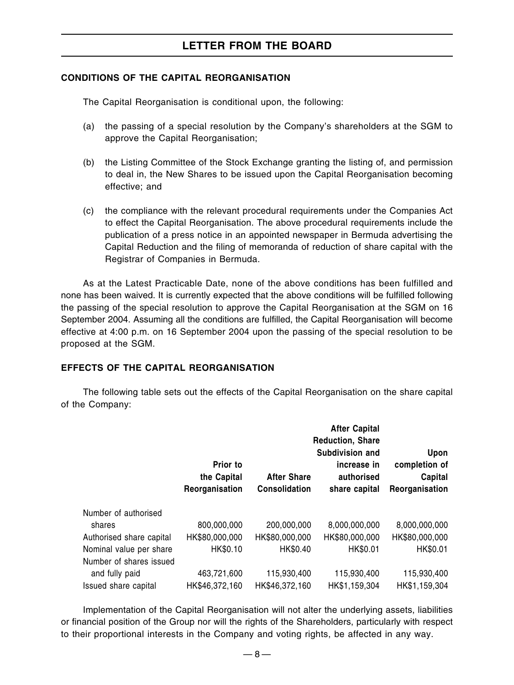#### **CONDITIONS OF THE CAPITAL REORGANISATION**

The Capital Reorganisation is conditional upon, the following:

- (a) the passing of a special resolution by the Company's shareholders at the SGM to approve the Capital Reorganisation;
- (b) the Listing Committee of the Stock Exchange granting the listing of, and permission to deal in, the New Shares to be issued upon the Capital Reorganisation becoming effective; and
- (c) the compliance with the relevant procedural requirements under the Companies Act to effect the Capital Reorganisation. The above procedural requirements include the publication of a press notice in an appointed newspaper in Bermuda advertising the Capital Reduction and the filing of memoranda of reduction of share capital with the Registrar of Companies in Bermuda.

As at the Latest Practicable Date, none of the above conditions has been fulfilled and none has been waived. It is currently expected that the above conditions will be fulfilled following the passing of the special resolution to approve the Capital Reorganisation at the SGM on 16 September 2004. Assuming all the conditions are fulfilled, the Capital Reorganisation will become effective at 4:00 p.m. on 16 September 2004 upon the passing of the special resolution to be proposed at the SGM.

#### **EFFECTS OF THE CAPITAL REORGANISATION**

The following table sets out the effects of the Capital Reorganisation on the share capital of the Company:

|                          |                                           |                                            | <b>After Capital</b><br><b>Reduction, Share</b>               |                                                    |
|--------------------------|-------------------------------------------|--------------------------------------------|---------------------------------------------------------------|----------------------------------------------------|
|                          | Prior to<br>the Capital<br>Reorganisation | <b>After Share</b><br><b>Consolidation</b> | Subdivision and<br>increase in<br>authorised<br>share capital | Upon<br>completion of<br>Capital<br>Reorganisation |
| Number of authorised     |                                           |                                            |                                                               |                                                    |
| shares                   | 800,000,000                               | 200,000,000                                | 8,000,000,000                                                 | 8.000,000,000                                      |
| Authorised share capital | HK\$80,000,000                            | HK\$80,000,000                             | HK\$80,000,000                                                | HK\$80,000,000                                     |
| Nominal value per share  | HK\$0.10                                  | HK\$0.40                                   | HK\$0.01                                                      | HK\$0.01                                           |
| Number of shares issued  |                                           |                                            |                                                               |                                                    |
| and fully paid           | 463,721,600                               | 115,930,400                                | 115,930,400                                                   | 115,930,400                                        |
| Issued share capital     | HK\$46,372,160                            | HK\$46,372,160                             | HK\$1,159,304                                                 | HK\$1,159,304                                      |

Implementation of the Capital Reorganisation will not alter the underlying assets, liabilities or financial position of the Group nor will the rights of the Shareholders, particularly with respect to their proportional interests in the Company and voting rights, be affected in any way.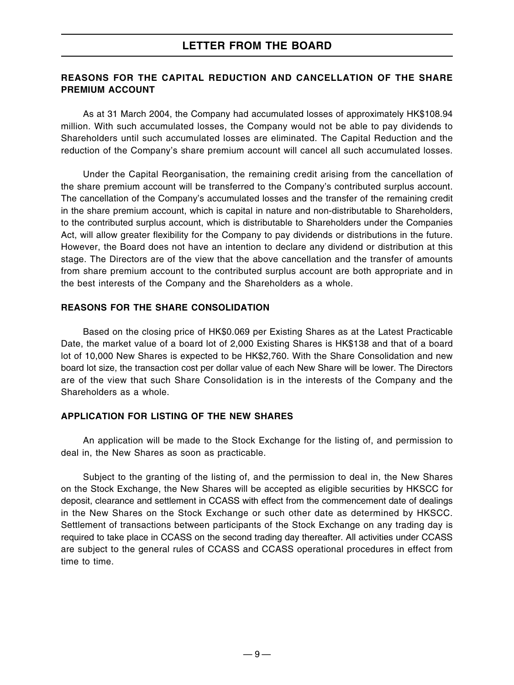#### **REASONS FOR THE CAPITAL REDUCTION AND CANCELLATION OF THE SHARE PREMIUM ACCOUNT**

As at 31 March 2004, the Company had accumulated losses of approximately HK\$108.94 million. With such accumulated losses, the Company would not be able to pay dividends to Shareholders until such accumulated losses are eliminated. The Capital Reduction and the reduction of the Company's share premium account will cancel all such accumulated losses.

Under the Capital Reorganisation, the remaining credit arising from the cancellation of the share premium account will be transferred to the Company's contributed surplus account. The cancellation of the Company's accumulated losses and the transfer of the remaining credit in the share premium account, which is capital in nature and non-distributable to Shareholders, to the contributed surplus account, which is distributable to Shareholders under the Companies Act, will allow greater flexibility for the Company to pay dividends or distributions in the future. However, the Board does not have an intention to declare any dividend or distribution at this stage. The Directors are of the view that the above cancellation and the transfer of amounts from share premium account to the contributed surplus account are both appropriate and in the best interests of the Company and the Shareholders as a whole.

#### **REASONS FOR THE SHARE CONSOLIDATION**

Based on the closing price of HK\$0.069 per Existing Shares as at the Latest Practicable Date, the market value of a board lot of 2,000 Existing Shares is HK\$138 and that of a board lot of 10,000 New Shares is expected to be HK\$2,760. With the Share Consolidation and new board lot size, the transaction cost per dollar value of each New Share will be lower. The Directors are of the view that such Share Consolidation is in the interests of the Company and the Shareholders as a whole.

#### **APPLICATION FOR LISTING OF THE NEW SHARES**

An application will be made to the Stock Exchange for the listing of, and permission to deal in, the New Shares as soon as practicable.

Subject to the granting of the listing of, and the permission to deal in, the New Shares on the Stock Exchange, the New Shares will be accepted as eligible securities by HKSCC for deposit, clearance and settlement in CCASS with effect from the commencement date of dealings in the New Shares on the Stock Exchange or such other date as determined by HKSCC. Settlement of transactions between participants of the Stock Exchange on any trading day is required to take place in CCASS on the second trading day thereafter. All activities under CCASS are subject to the general rules of CCASS and CCASS operational procedures in effect from time to time.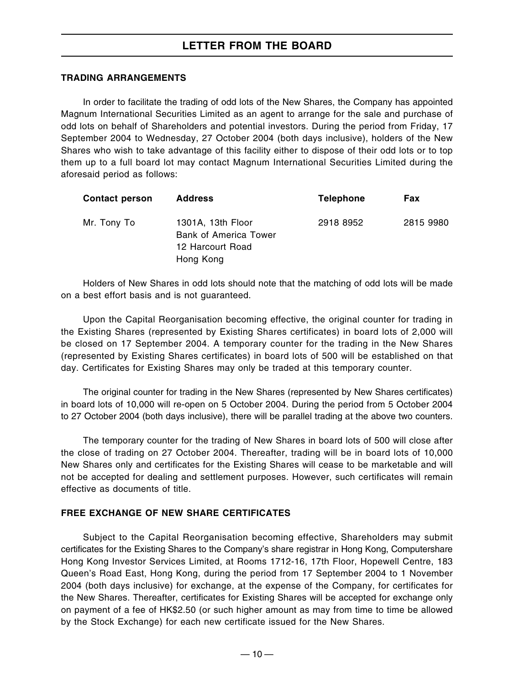#### **TRADING ARRANGEMENTS**

In order to facilitate the trading of odd lots of the New Shares, the Company has appointed Magnum International Securities Limited as an agent to arrange for the sale and purchase of odd lots on behalf of Shareholders and potential investors. During the period from Friday, 17 September 2004 to Wednesday, 27 October 2004 (both days inclusive), holders of the New Shares who wish to take advantage of this facility either to dispose of their odd lots or to top them up to a full board lot may contact Magnum International Securities Limited during the aforesaid period as follows:

| <b>Contact person</b> | <b>Address</b>                                                                     | <b>Telephone</b> | <b>Fax</b> |
|-----------------------|------------------------------------------------------------------------------------|------------------|------------|
| Mr. Tony To           | 1301A, 13th Floor<br><b>Bank of America Tower</b><br>12 Harcourt Road<br>Hong Kong | 2918 8952        | 2815 9980  |

Holders of New Shares in odd lots should note that the matching of odd lots will be made on a best effort basis and is not guaranteed.

Upon the Capital Reorganisation becoming effective, the original counter for trading in the Existing Shares (represented by Existing Shares certificates) in board lots of 2,000 will be closed on 17 September 2004. A temporary counter for the trading in the New Shares (represented by Existing Shares certificates) in board lots of 500 will be established on that day. Certificates for Existing Shares may only be traded at this temporary counter.

The original counter for trading in the New Shares (represented by New Shares certificates) in board lots of 10,000 will re-open on 5 October 2004. During the period from 5 October 2004 to 27 October 2004 (both days inclusive), there will be parallel trading at the above two counters.

The temporary counter for the trading of New Shares in board lots of 500 will close after the close of trading on 27 October 2004. Thereafter, trading will be in board lots of 10,000 New Shares only and certificates for the Existing Shares will cease to be marketable and will not be accepted for dealing and settlement purposes. However, such certificates will remain effective as documents of title.

#### **FREE EXCHANGE OF NEW SHARE CERTIFICATES**

Subject to the Capital Reorganisation becoming effective, Shareholders may submit certificates for the Existing Shares to the Company's share registrar in Hong Kong, Computershare Hong Kong Investor Services Limited, at Rooms 1712-16, 17th Floor, Hopewell Centre, 183 Queen's Road East, Hong Kong, during the period from 17 September 2004 to 1 November 2004 (both days inclusive) for exchange, at the expense of the Company, for certificates for the New Shares. Thereafter, certificates for Existing Shares will be accepted for exchange only on payment of a fee of HK\$2.50 (or such higher amount as may from time to time be allowed by the Stock Exchange) for each new certificate issued for the New Shares.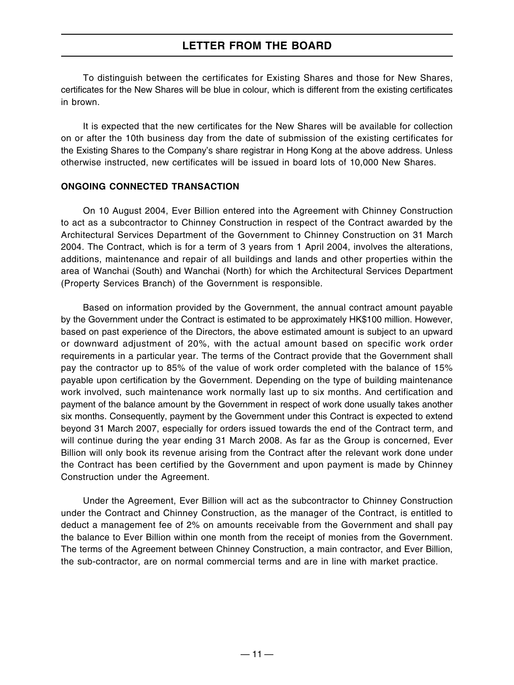To distinguish between the certificates for Existing Shares and those for New Shares, certificates for the New Shares will be blue in colour, which is different from the existing certificates in brown.

It is expected that the new certificates for the New Shares will be available for collection on or after the 10th business day from the date of submission of the existing certificates for the Existing Shares to the Company's share registrar in Hong Kong at the above address. Unless otherwise instructed, new certificates will be issued in board lots of 10,000 New Shares.

#### **ONGOING CONNECTED TRANSACTION**

On 10 August 2004, Ever Billion entered into the Agreement with Chinney Construction to act as a subcontractor to Chinney Construction in respect of the Contract awarded by the Architectural Services Department of the Government to Chinney Construction on 31 March 2004. The Contract, which is for a term of 3 years from 1 April 2004, involves the alterations, additions, maintenance and repair of all buildings and lands and other properties within the area of Wanchai (South) and Wanchai (North) for which the Architectural Services Department (Property Services Branch) of the Government is responsible.

Based on information provided by the Government, the annual contract amount payable by the Government under the Contract is estimated to be approximately HK\$100 million. However, based on past experience of the Directors, the above estimated amount is subject to an upward or downward adjustment of 20%, with the actual amount based on specific work order requirements in a particular year. The terms of the Contract provide that the Government shall pay the contractor up to 85% of the value of work order completed with the balance of 15% payable upon certification by the Government. Depending on the type of building maintenance work involved, such maintenance work normally last up to six months. And certification and payment of the balance amount by the Government in respect of work done usually takes another six months. Consequently, payment by the Government under this Contract is expected to extend beyond 31 March 2007, especially for orders issued towards the end of the Contract term, and will continue during the year ending 31 March 2008. As far as the Group is concerned, Ever Billion will only book its revenue arising from the Contract after the relevant work done under the Contract has been certified by the Government and upon payment is made by Chinney Construction under the Agreement.

Under the Agreement, Ever Billion will act as the subcontractor to Chinney Construction under the Contract and Chinney Construction, as the manager of the Contract, is entitled to deduct a management fee of 2% on amounts receivable from the Government and shall pay the balance to Ever Billion within one month from the receipt of monies from the Government. The terms of the Agreement between Chinney Construction, a main contractor, and Ever Billion, the sub-contractor, are on normal commercial terms and are in line with market practice.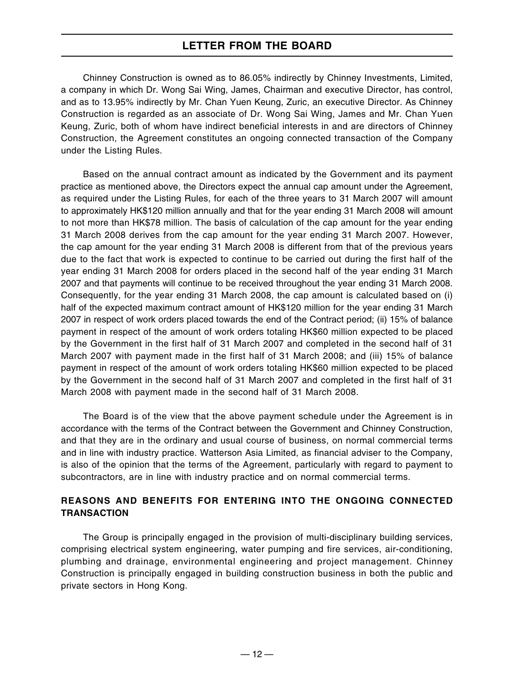Chinney Construction is owned as to 86.05% indirectly by Chinney Investments, Limited, a company in which Dr. Wong Sai Wing, James, Chairman and executive Director, has control, and as to 13.95% indirectly by Mr. Chan Yuen Keung, Zuric, an executive Director. As Chinney Construction is regarded as an associate of Dr. Wong Sai Wing, James and Mr. Chan Yuen Keung, Zuric, both of whom have indirect beneficial interests in and are directors of Chinney Construction, the Agreement constitutes an ongoing connected transaction of the Company under the Listing Rules.

Based on the annual contract amount as indicated by the Government and its payment practice as mentioned above, the Directors expect the annual cap amount under the Agreement, as required under the Listing Rules, for each of the three years to 31 March 2007 will amount to approximately HK\$120 million annually and that for the year ending 31 March 2008 will amount to not more than HK\$78 million. The basis of calculation of the cap amount for the year ending 31 March 2008 derives from the cap amount for the year ending 31 March 2007. However, the cap amount for the year ending 31 March 2008 is different from that of the previous years due to the fact that work is expected to continue to be carried out during the first half of the year ending 31 March 2008 for orders placed in the second half of the year ending 31 March 2007 and that payments will continue to be received throughout the year ending 31 March 2008. Consequently, for the year ending 31 March 2008, the cap amount is calculated based on (i) half of the expected maximum contract amount of HK\$120 million for the year ending 31 March 2007 in respect of work orders placed towards the end of the Contract period; (ii) 15% of balance payment in respect of the amount of work orders totaling HK\$60 million expected to be placed by the Government in the first half of 31 March 2007 and completed in the second half of 31 March 2007 with payment made in the first half of 31 March 2008; and (iii) 15% of balance payment in respect of the amount of work orders totaling HK\$60 million expected to be placed by the Government in the second half of 31 March 2007 and completed in the first half of 31 March 2008 with payment made in the second half of 31 March 2008.

The Board is of the view that the above payment schedule under the Agreement is in accordance with the terms of the Contract between the Government and Chinney Construction, and that they are in the ordinary and usual course of business, on normal commercial terms and in line with industry practice. Watterson Asia Limited, as financial adviser to the Company, is also of the opinion that the terms of the Agreement, particularly with regard to payment to subcontractors, are in line with industry practice and on normal commercial terms.

#### **REASONS AND BENEFITS FOR ENTERING INTO THE ONGOING CONNECTED TRANSACTION**

The Group is principally engaged in the provision of multi-disciplinary building services, comprising electrical system engineering, water pumping and fire services, air-conditioning, plumbing and drainage, environmental engineering and project management. Chinney Construction is principally engaged in building construction business in both the public and private sectors in Hong Kong.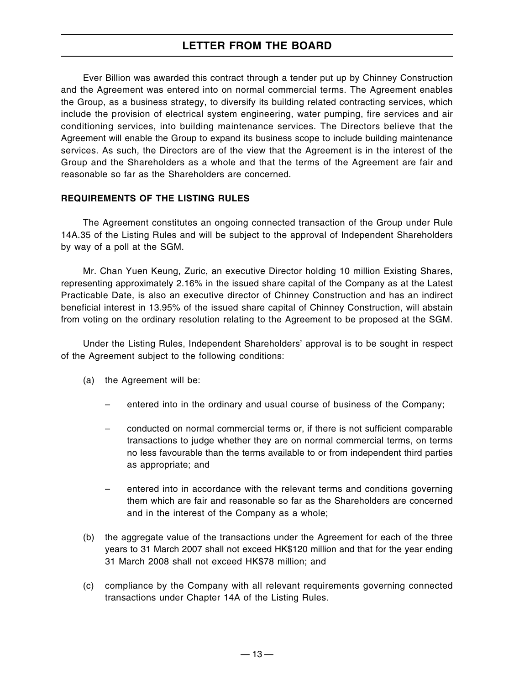Ever Billion was awarded this contract through a tender put up by Chinney Construction and the Agreement was entered into on normal commercial terms. The Agreement enables the Group, as a business strategy, to diversify its building related contracting services, which include the provision of electrical system engineering, water pumping, fire services and air conditioning services, into building maintenance services. The Directors believe that the Agreement will enable the Group to expand its business scope to include building maintenance services. As such, the Directors are of the view that the Agreement is in the interest of the Group and the Shareholders as a whole and that the terms of the Agreement are fair and reasonable so far as the Shareholders are concerned.

#### **REQUIREMENTS OF THE LISTING RULES**

The Agreement constitutes an ongoing connected transaction of the Group under Rule 14A.35 of the Listing Rules and will be subject to the approval of Independent Shareholders by way of a poll at the SGM.

Mr. Chan Yuen Keung, Zuric, an executive Director holding 10 million Existing Shares, representing approximately 2.16% in the issued share capital of the Company as at the Latest Practicable Date, is also an executive director of Chinney Construction and has an indirect beneficial interest in 13.95% of the issued share capital of Chinney Construction, will abstain from voting on the ordinary resolution relating to the Agreement to be proposed at the SGM.

Under the Listing Rules, Independent Shareholders' approval is to be sought in respect of the Agreement subject to the following conditions:

- (a) the Agreement will be:
	- entered into in the ordinary and usual course of business of the Company;
	- conducted on normal commercial terms or, if there is not sufficient comparable transactions to judge whether they are on normal commercial terms, on terms no less favourable than the terms available to or from independent third parties as appropriate; and
	- entered into in accordance with the relevant terms and conditions governing them which are fair and reasonable so far as the Shareholders are concerned and in the interest of the Company as a whole;
- (b) the aggregate value of the transactions under the Agreement for each of the three years to 31 March 2007 shall not exceed HK\$120 million and that for the year ending 31 March 2008 shall not exceed HK\$78 million; and
- (c) compliance by the Company with all relevant requirements governing connected transactions under Chapter 14A of the Listing Rules.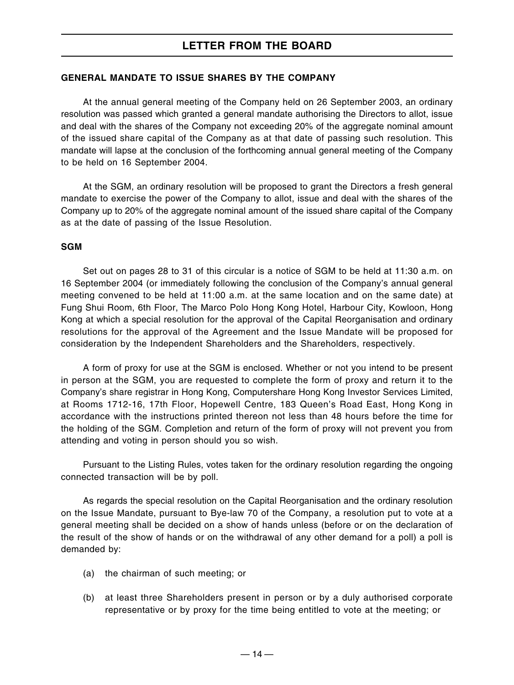#### **GENERAL MANDATE TO ISSUE SHARES BY THE COMPANY**

At the annual general meeting of the Company held on 26 September 2003, an ordinary resolution was passed which granted a general mandate authorising the Directors to allot, issue and deal with the shares of the Company not exceeding 20% of the aggregate nominal amount of the issued share capital of the Company as at that date of passing such resolution. This mandate will lapse at the conclusion of the forthcoming annual general meeting of the Company to be held on 16 September 2004.

At the SGM, an ordinary resolution will be proposed to grant the Directors a fresh general mandate to exercise the power of the Company to allot, issue and deal with the shares of the Company up to 20% of the aggregate nominal amount of the issued share capital of the Company as at the date of passing of the Issue Resolution.

#### **SGM**

Set out on pages 28 to 31 of this circular is a notice of SGM to be held at 11:30 a.m. on 16 September 2004 (or immediately following the conclusion of the Company's annual general meeting convened to be held at 11:00 a.m. at the same location and on the same date) at Fung Shui Room, 6th Floor, The Marco Polo Hong Kong Hotel, Harbour City, Kowloon, Hong Kong at which a special resolution for the approval of the Capital Reorganisation and ordinary resolutions for the approval of the Agreement and the Issue Mandate will be proposed for consideration by the Independent Shareholders and the Shareholders, respectively.

A form of proxy for use at the SGM is enclosed. Whether or not you intend to be present in person at the SGM, you are requested to complete the form of proxy and return it to the Company's share registrar in Hong Kong, Computershare Hong Kong Investor Services Limited, at Rooms 1712-16, 17th Floor, Hopewell Centre, 183 Queen's Road East, Hong Kong in accordance with the instructions printed thereon not less than 48 hours before the time for the holding of the SGM. Completion and return of the form of proxy will not prevent you from attending and voting in person should you so wish.

Pursuant to the Listing Rules, votes taken for the ordinary resolution regarding the ongoing connected transaction will be by poll.

As regards the special resolution on the Capital Reorganisation and the ordinary resolution on the Issue Mandate, pursuant to Bye-law 70 of the Company, a resolution put to vote at a general meeting shall be decided on a show of hands unless (before or on the declaration of the result of the show of hands or on the withdrawal of any other demand for a poll) a poll is demanded by:

- (a) the chairman of such meeting; or
- (b) at least three Shareholders present in person or by a duly authorised corporate representative or by proxy for the time being entitled to vote at the meeting; or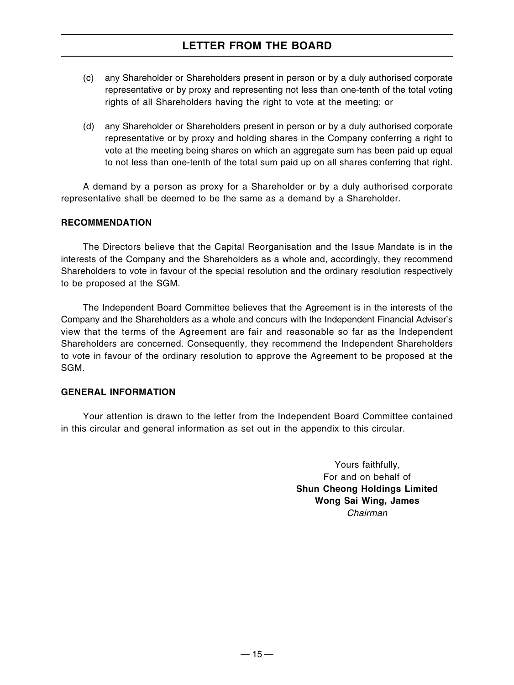- (c) any Shareholder or Shareholders present in person or by a duly authorised corporate representative or by proxy and representing not less than one-tenth of the total voting rights of all Shareholders having the right to vote at the meeting; or
- (d) any Shareholder or Shareholders present in person or by a duly authorised corporate representative or by proxy and holding shares in the Company conferring a right to vote at the meeting being shares on which an aggregate sum has been paid up equal to not less than one-tenth of the total sum paid up on all shares conferring that right.

A demand by a person as proxy for a Shareholder or by a duly authorised corporate representative shall be deemed to be the same as a demand by a Shareholder.

#### **RECOMMENDATION**

The Directors believe that the Capital Reorganisation and the Issue Mandate is in the interests of the Company and the Shareholders as a whole and, accordingly, they recommend Shareholders to vote in favour of the special resolution and the ordinary resolution respectively to be proposed at the SGM.

The Independent Board Committee believes that the Agreement is in the interests of the Company and the Shareholders as a whole and concurs with the Independent Financial Adviser's view that the terms of the Agreement are fair and reasonable so far as the Independent Shareholders are concerned. Consequently, they recommend the Independent Shareholders to vote in favour of the ordinary resolution to approve the Agreement to be proposed at the SGM.

#### **GENERAL INFORMATION**

Your attention is drawn to the letter from the Independent Board Committee contained in this circular and general information as set out in the appendix to this circular.

> Yours faithfully, For and on behalf of **Shun Cheong Holdings Limited Wong Sai Wing, James** Chairman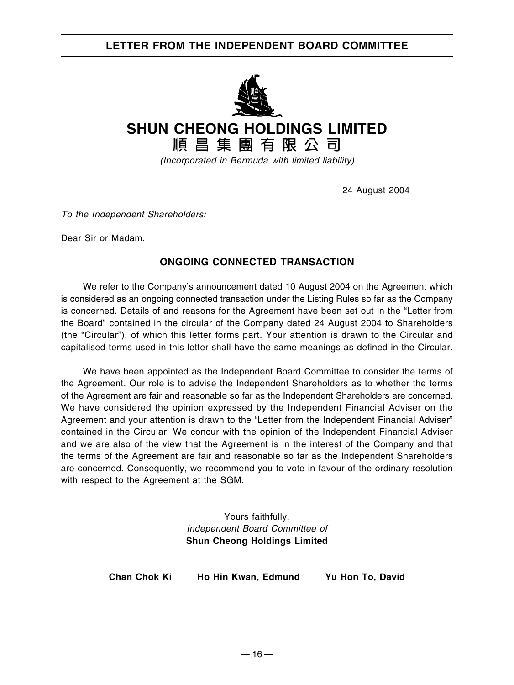# **LETTER FROM THE INDEPENDENT BOARD COMMITTEE**



**SHUN CHEONG HOLDINGS LIMITED**

**順昌集團有限公司**

(Incorporated in Bermuda with limited liability)

24 August 2004

To the Independent Shareholders:

Dear Sir or Madam,

## **ONGOING CONNECTED TRANSACTION**

We refer to the Company's announcement dated 10 August 2004 on the Agreement which is considered as an ongoing connected transaction under the Listing Rules so far as the Company is concerned. Details of and reasons for the Agreement have been set out in the "Letter from the Board" contained in the circular of the Company dated 24 August 2004 to Shareholders (the "Circular"), of which this letter forms part. Your attention is drawn to the Circular and capitalised terms used in this letter shall have the same meanings as defined in the Circular.

We have been appointed as the Independent Board Committee to consider the terms of the Agreement. Our role is to advise the Independent Shareholders as to whether the terms of the Agreement are fair and reasonable so far as the Independent Shareholders are concerned. We have considered the opinion expressed by the Independent Financial Adviser on the Agreement and your attention is drawn to the "Letter from the Independent Financial Adviser" contained in the Circular. We concur with the opinion of the Independent Financial Adviser and we are also of the view that the Agreement is in the interest of the Company and that the terms of the Agreement are fair and reasonable so far as the Independent Shareholders are concerned. Consequently, we recommend you to vote in favour of the ordinary resolution with respect to the Agreement at the SGM.

> Yours faithfully, Independent Board Committee of **Shun Cheong Holdings Limited**

**Chan Chok Ki Ho Hin Kwan, Edmund Yu Hon To, David**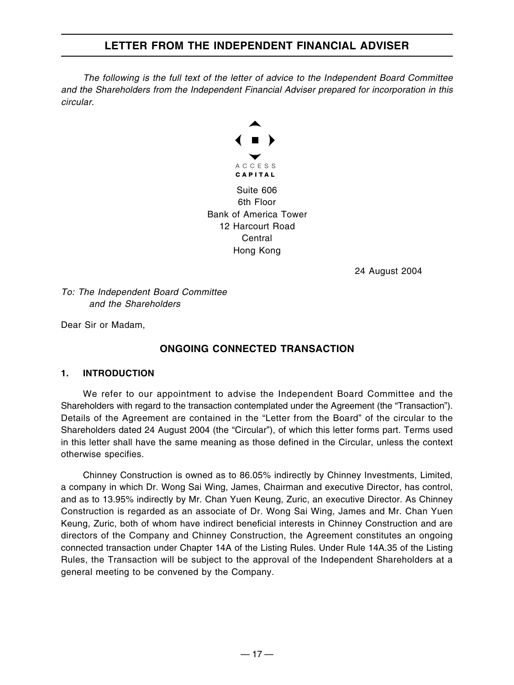The following is the full text of the letter of advice to the Independent Board Committee and the Shareholders from the Independent Financial Adviser prepared for incorporation in this circular.



24 August 2004

To: The Independent Board Committee and the Shareholders

Dear Sir or Madam,

## **ONGOING CONNECTED TRANSACTION**

#### **1. INTRODUCTION**

We refer to our appointment to advise the Independent Board Committee and the Shareholders with regard to the transaction contemplated under the Agreement (the "Transaction"). Details of the Agreement are contained in the "Letter from the Board" of the circular to the Shareholders dated 24 August 2004 (the "Circular"), of which this letter forms part. Terms used in this letter shall have the same meaning as those defined in the Circular, unless the context otherwise specifies.

Chinney Construction is owned as to 86.05% indirectly by Chinney Investments, Limited, a company in which Dr. Wong Sai Wing, James, Chairman and executive Director, has control, and as to 13.95% indirectly by Mr. Chan Yuen Keung, Zuric, an executive Director. As Chinney Construction is regarded as an associate of Dr. Wong Sai Wing, James and Mr. Chan Yuen Keung, Zuric, both of whom have indirect beneficial interests in Chinney Construction and are directors of the Company and Chinney Construction, the Agreement constitutes an ongoing connected transaction under Chapter 14A of the Listing Rules. Under Rule 14A.35 of the Listing Rules, the Transaction will be subject to the approval of the Independent Shareholders at a general meeting to be convened by the Company.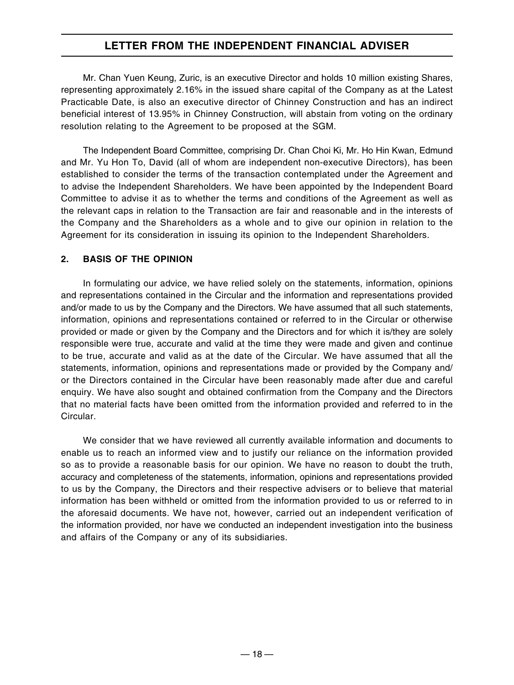Mr. Chan Yuen Keung, Zuric, is an executive Director and holds 10 million existing Shares, representing approximately 2.16% in the issued share capital of the Company as at the Latest Practicable Date, is also an executive director of Chinney Construction and has an indirect beneficial interest of 13.95% in Chinney Construction, will abstain from voting on the ordinary resolution relating to the Agreement to be proposed at the SGM.

The Independent Board Committee, comprising Dr. Chan Choi Ki, Mr. Ho Hin Kwan, Edmund and Mr. Yu Hon To, David (all of whom are independent non-executive Directors), has been established to consider the terms of the transaction contemplated under the Agreement and to advise the Independent Shareholders. We have been appointed by the Independent Board Committee to advise it as to whether the terms and conditions of the Agreement as well as the relevant caps in relation to the Transaction are fair and reasonable and in the interests of the Company and the Shareholders as a whole and to give our opinion in relation to the Agreement for its consideration in issuing its opinion to the Independent Shareholders.

#### **2. BASIS OF THE OPINION**

In formulating our advice, we have relied solely on the statements, information, opinions and representations contained in the Circular and the information and representations provided and/or made to us by the Company and the Directors. We have assumed that all such statements, information, opinions and representations contained or referred to in the Circular or otherwise provided or made or given by the Company and the Directors and for which it is/they are solely responsible were true, accurate and valid at the time they were made and given and continue to be true, accurate and valid as at the date of the Circular. We have assumed that all the statements, information, opinions and representations made or provided by the Company and/ or the Directors contained in the Circular have been reasonably made after due and careful enquiry. We have also sought and obtained confirmation from the Company and the Directors that no material facts have been omitted from the information provided and referred to in the Circular.

We consider that we have reviewed all currently available information and documents to enable us to reach an informed view and to justify our reliance on the information provided so as to provide a reasonable basis for our opinion. We have no reason to doubt the truth, accuracy and completeness of the statements, information, opinions and representations provided to us by the Company, the Directors and their respective advisers or to believe that material information has been withheld or omitted from the information provided to us or referred to in the aforesaid documents. We have not, however, carried out an independent verification of the information provided, nor have we conducted an independent investigation into the business and affairs of the Company or any of its subsidiaries.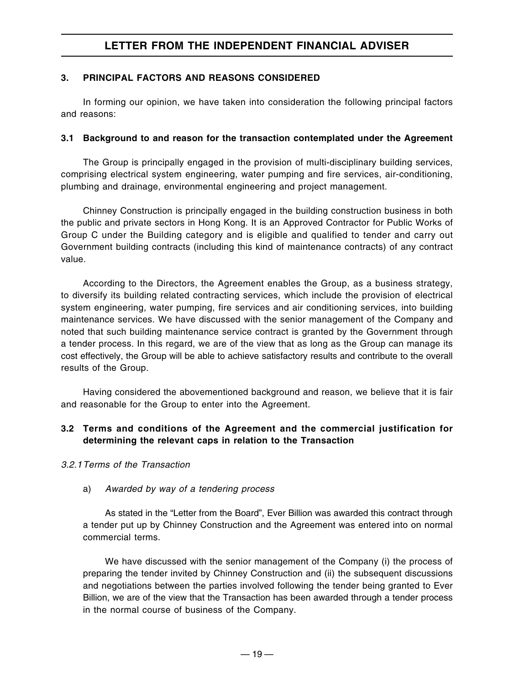#### **3. PRINCIPAL FACTORS AND REASONS CONSIDERED**

In forming our opinion, we have taken into consideration the following principal factors and reasons:

#### **3.1 Background to and reason for the transaction contemplated under the Agreement**

The Group is principally engaged in the provision of multi-disciplinary building services, comprising electrical system engineering, water pumping and fire services, air-conditioning, plumbing and drainage, environmental engineering and project management.

Chinney Construction is principally engaged in the building construction business in both the public and private sectors in Hong Kong. It is an Approved Contractor for Public Works of Group C under the Building category and is eligible and qualified to tender and carry out Government building contracts (including this kind of maintenance contracts) of any contract value.

According to the Directors, the Agreement enables the Group, as a business strategy, to diversify its building related contracting services, which include the provision of electrical system engineering, water pumping, fire services and air conditioning services, into building maintenance services. We have discussed with the senior management of the Company and noted that such building maintenance service contract is granted by the Government through a tender process. In this regard, we are of the view that as long as the Group can manage its cost effectively, the Group will be able to achieve satisfactory results and contribute to the overall results of the Group.

Having considered the abovementioned background and reason, we believe that it is fair and reasonable for the Group to enter into the Agreement.

#### **3.2 Terms and conditions of the Agreement and the commercial justification for determining the relevant caps in relation to the Transaction**

#### 3.2.1Terms of the Transaction

#### a) Awarded by way of a tendering process

As stated in the "Letter from the Board", Ever Billion was awarded this contract through a tender put up by Chinney Construction and the Agreement was entered into on normal commercial terms.

We have discussed with the senior management of the Company (i) the process of preparing the tender invited by Chinney Construction and (ii) the subsequent discussions and negotiations between the parties involved following the tender being granted to Ever Billion, we are of the view that the Transaction has been awarded through a tender process in the normal course of business of the Company.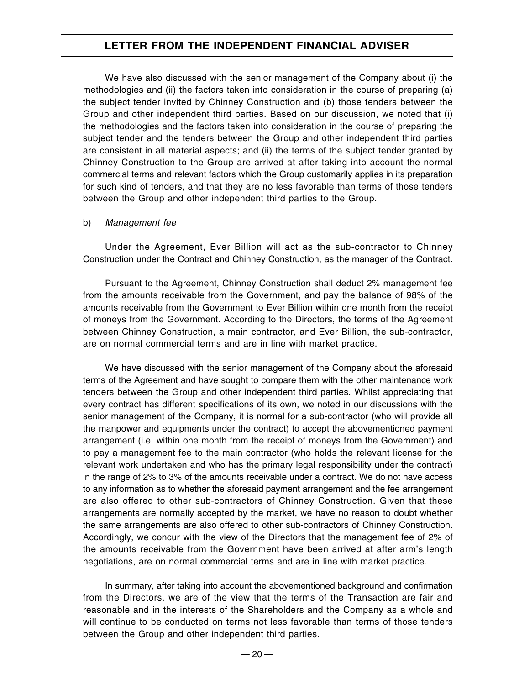We have also discussed with the senior management of the Company about (i) the methodologies and (ii) the factors taken into consideration in the course of preparing (a) the subject tender invited by Chinney Construction and (b) those tenders between the Group and other independent third parties. Based on our discussion, we noted that (i) the methodologies and the factors taken into consideration in the course of preparing the subject tender and the tenders between the Group and other independent third parties are consistent in all material aspects; and (ii) the terms of the subject tender granted by Chinney Construction to the Group are arrived at after taking into account the normal commercial terms and relevant factors which the Group customarily applies in its preparation for such kind of tenders, and that they are no less favorable than terms of those tenders between the Group and other independent third parties to the Group.

#### b) Management fee

Under the Agreement, Ever Billion will act as the sub-contractor to Chinney Construction under the Contract and Chinney Construction, as the manager of the Contract.

Pursuant to the Agreement, Chinney Construction shall deduct 2% management fee from the amounts receivable from the Government, and pay the balance of 98% of the amounts receivable from the Government to Ever Billion within one month from the receipt of moneys from the Government. According to the Directors, the terms of the Agreement between Chinney Construction, a main contractor, and Ever Billion, the sub-contractor, are on normal commercial terms and are in line with market practice.

We have discussed with the senior management of the Company about the aforesaid terms of the Agreement and have sought to compare them with the other maintenance work tenders between the Group and other independent third parties. Whilst appreciating that every contract has different specifications of its own, we noted in our discussions with the senior management of the Company, it is normal for a sub-contractor (who will provide all the manpower and equipments under the contract) to accept the abovementioned payment arrangement (i.e. within one month from the receipt of moneys from the Government) and to pay a management fee to the main contractor (who holds the relevant license for the relevant work undertaken and who has the primary legal responsibility under the contract) in the range of 2% to 3% of the amounts receivable under a contract. We do not have access to any information as to whether the aforesaid payment arrangement and the fee arrangement are also offered to other sub-contractors of Chinney Construction. Given that these arrangements are normally accepted by the market, we have no reason to doubt whether the same arrangements are also offered to other sub-contractors of Chinney Construction. Accordingly, we concur with the view of the Directors that the management fee of 2% of the amounts receivable from the Government have been arrived at after arm's length negotiations, are on normal commercial terms and are in line with market practice.

In summary, after taking into account the abovementioned background and confirmation from the Directors, we are of the view that the terms of the Transaction are fair and reasonable and in the interests of the Shareholders and the Company as a whole and will continue to be conducted on terms not less favorable than terms of those tenders between the Group and other independent third parties.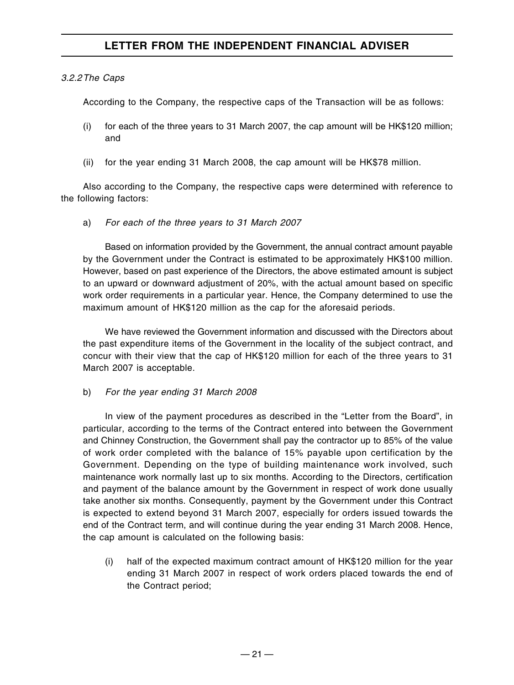#### 3.2.2The Caps

According to the Company, the respective caps of the Transaction will be as follows:

- (i) for each of the three years to 31 March 2007, the cap amount will be HK\$120 million; and
- (ii) for the year ending 31 March 2008, the cap amount will be HK\$78 million.

Also according to the Company, the respective caps were determined with reference to the following factors:

a) For each of the three years to 31 March 2007

Based on information provided by the Government, the annual contract amount payable by the Government under the Contract is estimated to be approximately HK\$100 million. However, based on past experience of the Directors, the above estimated amount is subject to an upward or downward adjustment of 20%, with the actual amount based on specific work order requirements in a particular year. Hence, the Company determined to use the maximum amount of HK\$120 million as the cap for the aforesaid periods.

We have reviewed the Government information and discussed with the Directors about the past expenditure items of the Government in the locality of the subject contract, and concur with their view that the cap of HK\$120 million for each of the three years to 31 March 2007 is acceptable.

b) For the year ending 31 March 2008

In view of the payment procedures as described in the "Letter from the Board", in particular, according to the terms of the Contract entered into between the Government and Chinney Construction, the Government shall pay the contractor up to 85% of the value of work order completed with the balance of 15% payable upon certification by the Government. Depending on the type of building maintenance work involved, such maintenance work normally last up to six months. According to the Directors, certification and payment of the balance amount by the Government in respect of work done usually take another six months. Consequently, payment by the Government under this Contract is expected to extend beyond 31 March 2007, especially for orders issued towards the end of the Contract term, and will continue during the year ending 31 March 2008. Hence, the cap amount is calculated on the following basis:

(i) half of the expected maximum contract amount of HK\$120 million for the year ending 31 March 2007 in respect of work orders placed towards the end of the Contract period;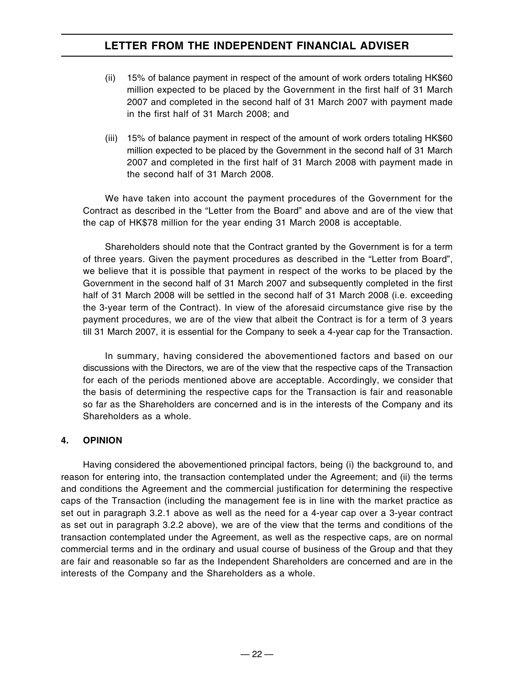- (ii) 15% of balance payment in respect of the amount of work orders totaling HK\$60 million expected to be placed by the Government in the first half of 31 March 2007 and completed in the second half of 31 March 2007 with payment made in the first half of 31 March 2008; and
- (iii) 15% of balance payment in respect of the amount of work orders totaling HK\$60 million expected to be placed by the Government in the second half of 31 March 2007 and completed in the first half of 31 March 2008 with payment made in the second half of 31 March 2008.

We have taken into account the payment procedures of the Government for the Contract as described in the "Letter from the Board" and above and are of the view that the cap of HK\$78 million for the year ending 31 March 2008 is acceptable.

Shareholders should note that the Contract granted by the Government is for a term of three years. Given the payment procedures as described in the "Letter from Board", we believe that it is possible that payment in respect of the works to be placed by the Government in the second half of 31 March 2007 and subsequently completed in the first half of 31 March 2008 will be settled in the second half of 31 March 2008 (i.e. exceeding the 3-year term of the Contract). In view of the aforesaid circumstance give rise by the payment procedures, we are of the view that albeit the Contract is for a term of 3 years till 31 March 2007, it is essential for the Company to seek a 4-year cap for the Transaction.

In summary, having considered the abovementioned factors and based on our discussions with the Directors, we are of the view that the respective caps of the Transaction for each of the periods mentioned above are acceptable. Accordingly, we consider that the basis of determining the respective caps for the Transaction is fair and reasonable so far as the Shareholders are concerned and is in the interests of the Company and its Shareholders as a whole.

#### **4. OPINION**

Having considered the abovementioned principal factors, being (i) the background to, and reason for entering into, the transaction contemplated under the Agreement; and (ii) the terms and conditions the Agreement and the commercial justification for determining the respective caps of the Transaction (including the management fee is in line with the market practice as set out in paragraph 3.2.1 above as well as the need for a 4-year cap over a 3-year contract as set out in paragraph 3.2.2 above), we are of the view that the terms and conditions of the transaction contemplated under the Agreement, as well as the respective caps, are on normal commercial terms and in the ordinary and usual course of business of the Group and that they are fair and reasonable so far as the Independent Shareholders are concerned and are in the interests of the Company and the Shareholders as a whole.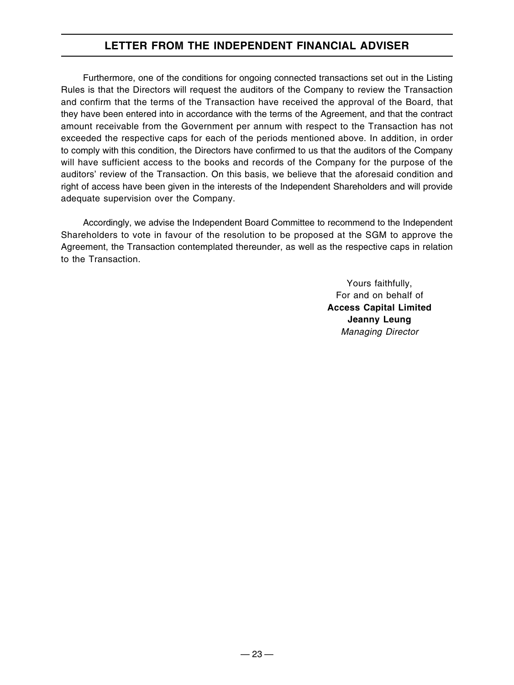Furthermore, one of the conditions for ongoing connected transactions set out in the Listing Rules is that the Directors will request the auditors of the Company to review the Transaction and confirm that the terms of the Transaction have received the approval of the Board, that they have been entered into in accordance with the terms of the Agreement, and that the contract amount receivable from the Government per annum with respect to the Transaction has not exceeded the respective caps for each of the periods mentioned above. In addition, in order to comply with this condition, the Directors have confirmed to us that the auditors of the Company will have sufficient access to the books and records of the Company for the purpose of the auditors' review of the Transaction. On this basis, we believe that the aforesaid condition and right of access have been given in the interests of the Independent Shareholders and will provide adequate supervision over the Company.

Accordingly, we advise the Independent Board Committee to recommend to the Independent Shareholders to vote in favour of the resolution to be proposed at the SGM to approve the Agreement, the Transaction contemplated thereunder, as well as the respective caps in relation to the Transaction.

> Yours faithfully, For and on behalf of **Access Capital Limited Jeanny Leung** Managing Director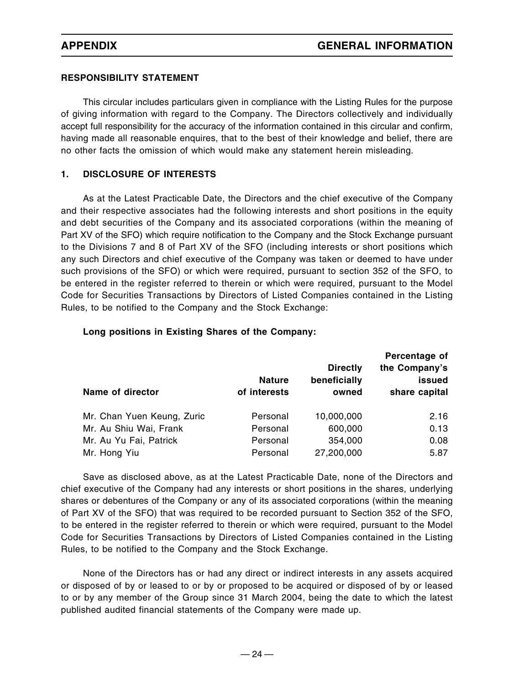#### **RESPONSIBILITY STATEMENT**

This circular includes particulars given in compliance with the Listing Rules for the purpose of giving information with regard to the Company. The Directors collectively and individually accept full responsibility for the accuracy of the information contained in this circular and confirm, having made all reasonable enquires, that to the best of their knowledge and belief, there are no other facts the omission of which would make any statement herein misleading.

#### **1. DISCLOSURE OF INTERESTS**

As at the Latest Practicable Date, the Directors and the chief executive of the Company and their respective associates had the following interests and short positions in the equity and debt securities of the Company and its associated corporations (within the meaning of Part XV of the SFO) which require notification to the Company and the Stock Exchange pursuant to the Divisions 7 and 8 of Part XV of the SFO (including interests or short positions which any such Directors and chief executive of the Company was taken or deemed to have under such provisions of the SFO) or which were required, pursuant to section 352 of the SFO, to be entered in the register referred to therein or which were required, pursuant to the Model Code for Securities Transactions by Directors of Listed Companies contained in the Listing Rules, to be notified to the Company and the Stock Exchange:

| <b>Name of director</b>    | <b>Nature</b><br>of interests | <b>Directly</b><br>beneficially<br>owned | Percentage of<br>the Company's<br>issued<br>share capital |
|----------------------------|-------------------------------|------------------------------------------|-----------------------------------------------------------|
| Mr. Chan Yuen Keung, Zuric | Personal                      | 10,000,000                               | 2.16                                                      |
| Mr. Au Shiu Wai, Frank     | Personal                      | 600,000                                  | 0.13                                                      |
| Mr. Au Yu Fai, Patrick     | Personal                      | 354,000                                  | 0.08                                                      |
| Mr. Hong Yiu               | Personal                      | 27,200,000                               | 5.87                                                      |

#### **Long positions in Existing Shares of the Company:**

Save as disclosed above, as at the Latest Practicable Date, none of the Directors and chief executive of the Company had any interests or short positions in the shares, underlying shares or debentures of the Company or any of its associated corporations (within the meaning of Part XV of the SFO) that was required to be recorded pursuant to Section 352 of the SFO, to be entered in the register referred to therein or which were required, pursuant to the Model Code for Securities Transactions by Directors of Listed Companies contained in the Listing Rules, to be notified to the Company and the Stock Exchange.

None of the Directors has or had any direct or indirect interests in any assets acquired or disposed of by or leased to or by or proposed to be acquired or disposed of by or leased to or by any member of the Group since 31 March 2004, being the date to which the latest published audited financial statements of the Company were made up.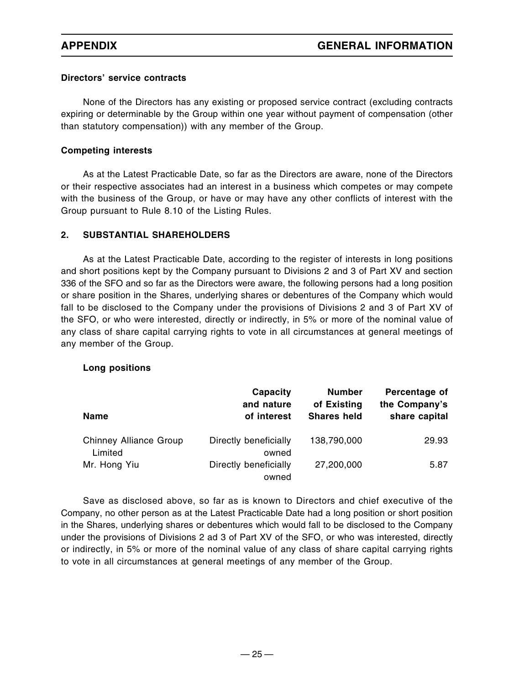#### **Directors' service contracts**

None of the Directors has any existing or proposed service contract (excluding contracts expiring or determinable by the Group within one year without payment of compensation (other than statutory compensation)) with any member of the Group.

#### **Competing interests**

As at the Latest Practicable Date, so far as the Directors are aware, none of the Directors or their respective associates had an interest in a business which competes or may compete with the business of the Group, or have or may have any other conflicts of interest with the Group pursuant to Rule 8.10 of the Listing Rules.

#### **2. SUBSTANTIAL SHAREHOLDERS**

As at the Latest Practicable Date, according to the register of interests in long positions and short positions kept by the Company pursuant to Divisions 2 and 3 of Part XV and section 336 of the SFO and so far as the Directors were aware, the following persons had a long position or share position in the Shares, underlying shares or debentures of the Company which would fall to be disclosed to the Company under the provisions of Divisions 2 and 3 of Part XV of the SFO, or who were interested, directly or indirectly, in 5% or more of the nominal value of any class of share capital carrying rights to vote in all circumstances at general meetings of any member of the Group.

#### **Long positions**

|                                   | Capacity<br>and nature         | <b>Number</b><br>of Existing | Percentage of<br>the Company's |
|-----------------------------------|--------------------------------|------------------------------|--------------------------------|
| <b>Name</b>                       | of interest                    | <b>Shares held</b>           | share capital                  |
| Chinney Alliance Group<br>Limited | Directly beneficially<br>owned | 138,790,000                  | 29.93                          |
| Mr. Hong Yiu                      | Directly beneficially<br>owned | 27,200,000                   | 5.87                           |

Save as disclosed above, so far as is known to Directors and chief executive of the Company, no other person as at the Latest Practicable Date had a long position or short position in the Shares, underlying shares or debentures which would fall to be disclosed to the Company under the provisions of Divisions 2 ad 3 of Part XV of the SFO, or who was interested, directly or indirectly, in 5% or more of the nominal value of any class of share capital carrying rights to vote in all circumstances at general meetings of any member of the Group.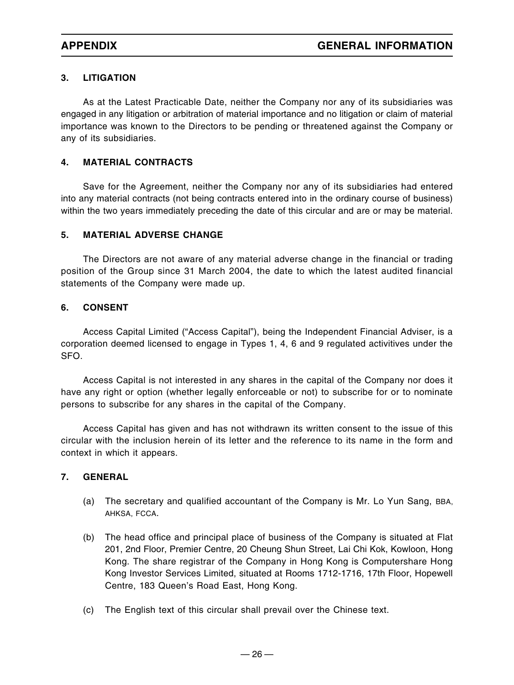#### **3. LITIGATION**

As at the Latest Practicable Date, neither the Company nor any of its subsidiaries was engaged in any litigation or arbitration of material importance and no litigation or claim of material importance was known to the Directors to be pending or threatened against the Company or any of its subsidiaries.

#### **4. MATERIAL CONTRACTS**

Save for the Agreement, neither the Company nor any of its subsidiaries had entered into any material contracts (not being contracts entered into in the ordinary course of business) within the two years immediately preceding the date of this circular and are or may be material.

#### **5. MATERIAL ADVERSE CHANGE**

The Directors are not aware of any material adverse change in the financial or trading position of the Group since 31 March 2004, the date to which the latest audited financial statements of the Company were made up.

#### **6. CONSENT**

Access Capital Limited ("Access Capital"), being the Independent Financial Adviser, is a corporation deemed licensed to engage in Types 1, 4, 6 and 9 regulated activitives under the SFO.

Access Capital is not interested in any shares in the capital of the Company nor does it have any right or option (whether legally enforceable or not) to subscribe for or to nominate persons to subscribe for any shares in the capital of the Company.

Access Capital has given and has not withdrawn its written consent to the issue of this circular with the inclusion herein of its letter and the reference to its name in the form and context in which it appears.

#### **7. GENERAL**

- (a) The secretary and qualified accountant of the Company is Mr. Lo Yun Sang, BBA, AHKSA, FCCA.
- (b) The head office and principal place of business of the Company is situated at Flat 201, 2nd Floor, Premier Centre, 20 Cheung Shun Street, Lai Chi Kok, Kowloon, Hong Kong. The share registrar of the Company in Hong Kong is Computershare Hong Kong Investor Services Limited, situated at Rooms 1712-1716, 17th Floor, Hopewell Centre, 183 Queen's Road East, Hong Kong.
- (c) The English text of this circular shall prevail over the Chinese text.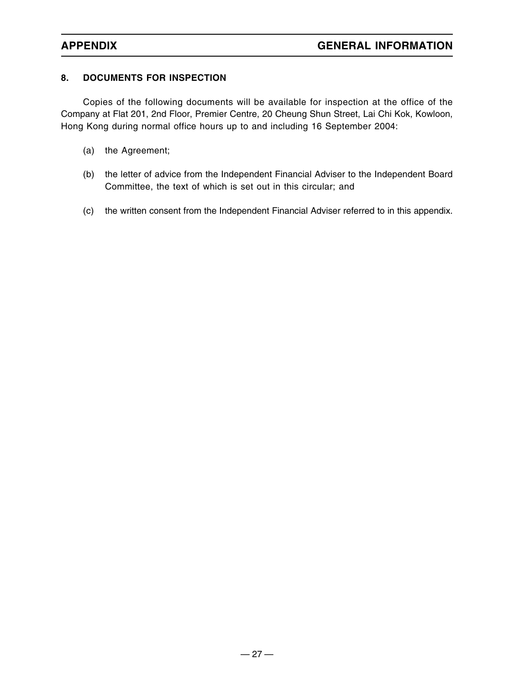### **8. DOCUMENTS FOR INSPECTION**

Copies of the following documents will be available for inspection at the office of the Company at Flat 201, 2nd Floor, Premier Centre, 20 Cheung Shun Street, Lai Chi Kok, Kowloon, Hong Kong during normal office hours up to and including 16 September 2004:

- (a) the Agreement;
- (b) the letter of advice from the Independent Financial Adviser to the Independent Board Committee, the text of which is set out in this circular; and
- (c) the written consent from the Independent Financial Adviser referred to in this appendix.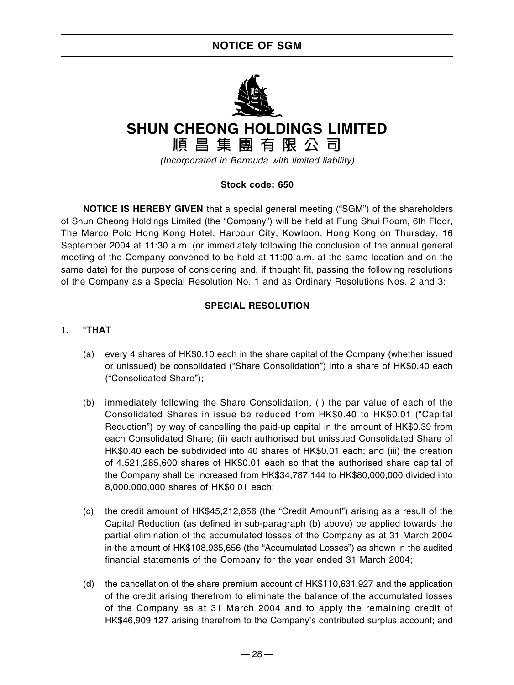# **NOTICE OF SGM**



# **SHUN CHEONG HOLDINGS LIMITED**

**順昌集團有限公司**

(Incorporated in Bermuda with limited liability)

#### **Stock code: 650**

**NOTICE IS HEREBY GIVEN** that a special general meeting ("SGM") of the shareholders of Shun Cheong Holdings Limited (the "Company") will be held at Fung Shui Room, 6th Floor, The Marco Polo Hong Kong Hotel, Harbour City, Kowloon, Hong Kong on Thursday, 16 September 2004 at 11:30 a.m. (or immediately following the conclusion of the annual general meeting of the Company convened to be held at 11:00 a.m. at the same location and on the same date) for the purpose of considering and, if thought fit, passing the following resolutions of the Company as a Special Resolution No. 1 and as Ordinary Resolutions Nos. 2 and 3:

#### **SPECIAL RESOLUTION**

#### 1. "**THAT**

- (a) every 4 shares of HK\$0.10 each in the share capital of the Company (whether issued or unissued) be consolidated ("Share Consolidation") into a share of HK\$0.40 each ("Consolidated Share");
- (b) immediately following the Share Consolidation, (i) the par value of each of the Consolidated Shares in issue be reduced from HK\$0.40 to HK\$0.01 ("Capital Reduction") by way of cancelling the paid-up capital in the amount of HK\$0.39 from each Consolidated Share; (ii) each authorised but unissued Consolidated Share of HK\$0.40 each be subdivided into 40 shares of HK\$0.01 each; and (iii) the creation of 4,521,285,600 shares of HK\$0.01 each so that the authorised share capital of the Company shall be increased from HK\$34,787,144 to HK\$80,000,000 divided into 8,000,000,000 shares of HK\$0.01 each;
- (c) the credit amount of HK\$45,212,856 (the "Credit Amount") arising as a result of the Capital Reduction (as defined in sub-paragraph (b) above) be applied towards the partial elimination of the accumulated losses of the Company as at 31 March 2004 in the amount of HK\$108,935,656 (the "Accumulated Losses") as shown in the audited financial statements of the Company for the year ended 31 March 2004;
- (d) the cancellation of the share premium account of HK\$110,631,927 and the application of the credit arising therefrom to eliminate the balance of the accumulated losses of the Company as at 31 March 2004 and to apply the remaining credit of HK\$46,909,127 arising therefrom to the Company's contributed surplus account; and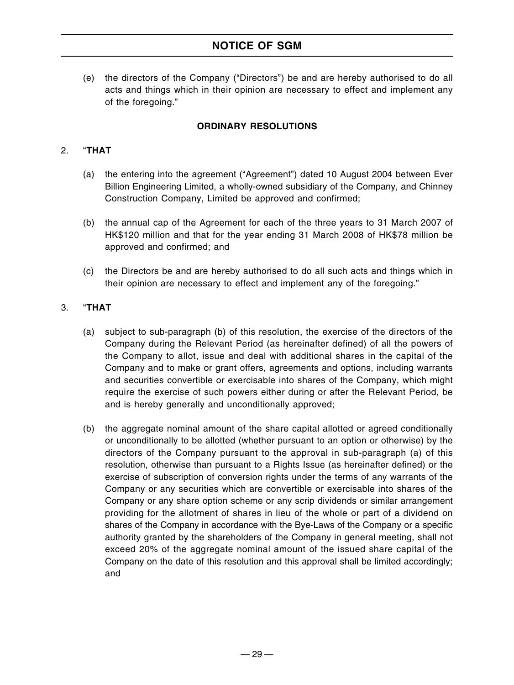# **NOTICE OF SGM**

(e) the directors of the Company ("Directors") be and are hereby authorised to do all acts and things which in their opinion are necessary to effect and implement any of the foregoing."

#### **ORDINARY RESOLUTIONS**

#### 2. "**THAT**

- (a) the entering into the agreement ("Agreement") dated 10 August 2004 between Ever Billion Engineering Limited, a wholly-owned subsidiary of the Company, and Chinney Construction Company, Limited be approved and confirmed;
- (b) the annual cap of the Agreement for each of the three years to 31 March 2007 of HK\$120 million and that for the year ending 31 March 2008 of HK\$78 million be approved and confirmed; and
- (c) the Directors be and are hereby authorised to do all such acts and things which in their opinion are necessary to effect and implement any of the foregoing."

#### 3. "**THAT**

- (a) subject to sub-paragraph (b) of this resolution, the exercise of the directors of the Company during the Relevant Period (as hereinafter defined) of all the powers of the Company to allot, issue and deal with additional shares in the capital of the Company and to make or grant offers, agreements and options, including warrants and securities convertible or exercisable into shares of the Company, which might require the exercise of such powers either during or after the Relevant Period, be and is hereby generally and unconditionally approved;
- (b) the aggregate nominal amount of the share capital allotted or agreed conditionally or unconditionally to be allotted (whether pursuant to an option or otherwise) by the directors of the Company pursuant to the approval in sub-paragraph (a) of this resolution, otherwise than pursuant to a Rights Issue (as hereinafter defined) or the exercise of subscription of conversion rights under the terms of any warrants of the Company or any securities which are convertible or exercisable into shares of the Company or any share option scheme or any scrip dividends or similar arrangement providing for the allotment of shares in lieu of the whole or part of a dividend on shares of the Company in accordance with the Bye-Laws of the Company or a specific authority granted by the shareholders of the Company in general meeting, shall not exceed 20% of the aggregate nominal amount of the issued share capital of the Company on the date of this resolution and this approval shall be limited accordingly; and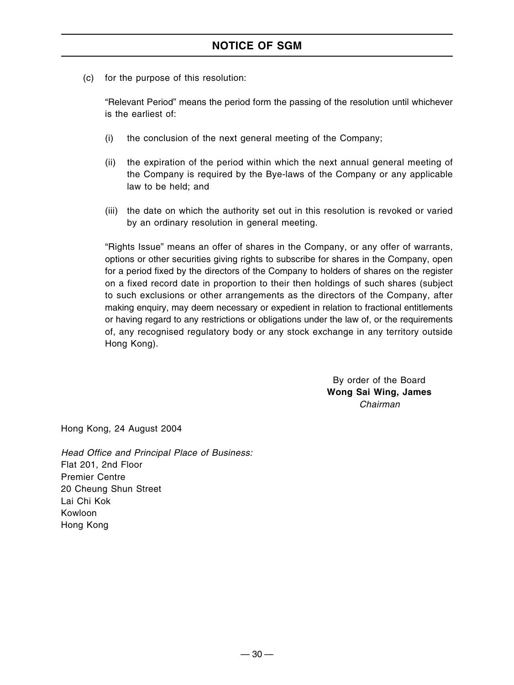(c) for the purpose of this resolution:

"Relevant Period" means the period form the passing of the resolution until whichever is the earliest of:

- (i) the conclusion of the next general meeting of the Company;
- (ii) the expiration of the period within which the next annual general meeting of the Company is required by the Bye-laws of the Company or any applicable law to be held; and
- (iii) the date on which the authority set out in this resolution is revoked or varied by an ordinary resolution in general meeting.

"Rights Issue" means an offer of shares in the Company, or any offer of warrants, options or other securities giving rights to subscribe for shares in the Company, open for a period fixed by the directors of the Company to holders of shares on the register on a fixed record date in proportion to their then holdings of such shares (subject to such exclusions or other arrangements as the directors of the Company, after making enquiry, may deem necessary or expedient in relation to fractional entitlements or having regard to any restrictions or obligations under the law of, or the requirements of, any recognised regulatory body or any stock exchange in any territory outside Hong Kong).

> By order of the Board **Wong Sai Wing, James** Chairman

Hong Kong, 24 August 2004

Head Office and Principal Place of Business: Flat 201, 2nd Floor Premier Centre 20 Cheung Shun Street Lai Chi Kok Kowloon Hong Kong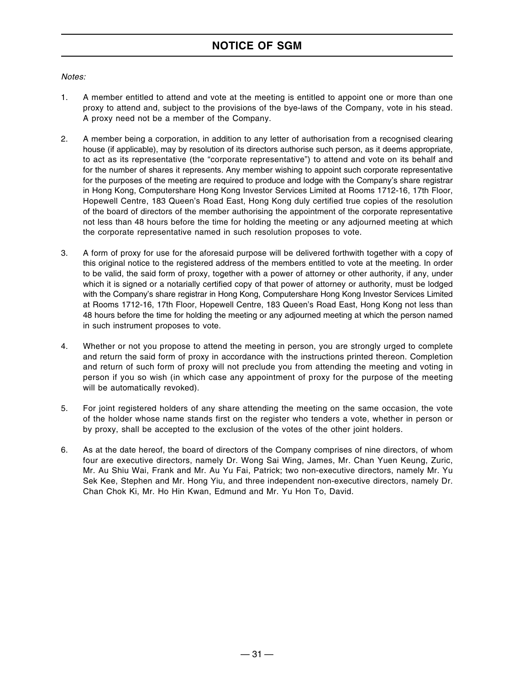#### Notes:

- 1. A member entitled to attend and vote at the meeting is entitled to appoint one or more than one proxy to attend and, subject to the provisions of the bye-laws of the Company, vote in his stead. A proxy need not be a member of the Company.
- 2. A member being a corporation, in addition to any letter of authorisation from a recognised clearing house (if applicable), may by resolution of its directors authorise such person, as it deems appropriate, to act as its representative (the "corporate representative") to attend and vote on its behalf and for the number of shares it represents. Any member wishing to appoint such corporate representative for the purposes of the meeting are required to produce and lodge with the Company's share registrar in Hong Kong, Computershare Hong Kong Investor Services Limited at Rooms 1712-16, 17th Floor, Hopewell Centre, 183 Queen's Road East, Hong Kong duly certified true copies of the resolution of the board of directors of the member authorising the appointment of the corporate representative not less than 48 hours before the time for holding the meeting or any adjourned meeting at which the corporate representative named in such resolution proposes to vote.
- 3. A form of proxy for use for the aforesaid purpose will be delivered forthwith together with a copy of this original notice to the registered address of the members entitled to vote at the meeting. In order to be valid, the said form of proxy, together with a power of attorney or other authority, if any, under which it is signed or a notarially certified copy of that power of attorney or authority, must be lodged with the Company's share registrar in Hong Kong, Computershare Hong Kong Investor Services Limited at Rooms 1712-16, 17th Floor, Hopewell Centre, 183 Queen's Road East, Hong Kong not less than 48 hours before the time for holding the meeting or any adjourned meeting at which the person named in such instrument proposes to vote.
- 4. Whether or not you propose to attend the meeting in person, you are strongly urged to complete and return the said form of proxy in accordance with the instructions printed thereon. Completion and return of such form of proxy will not preclude you from attending the meeting and voting in person if you so wish (in which case any appointment of proxy for the purpose of the meeting will be automatically revoked).
- 5. For joint registered holders of any share attending the meeting on the same occasion, the vote of the holder whose name stands first on the register who tenders a vote, whether in person or by proxy, shall be accepted to the exclusion of the votes of the other joint holders.
- 6. As at the date hereof, the board of directors of the Company comprises of nine directors, of whom four are executive directors, namely Dr. Wong Sai Wing, James, Mr. Chan Yuen Keung, Zuric, Mr. Au Shiu Wai, Frank and Mr. Au Yu Fai, Patrick; two non-executive directors, namely Mr. Yu Sek Kee, Stephen and Mr. Hong Yiu, and three independent non-executive directors, namely Dr. Chan Chok Ki, Mr. Ho Hin Kwan, Edmund and Mr. Yu Hon To, David.